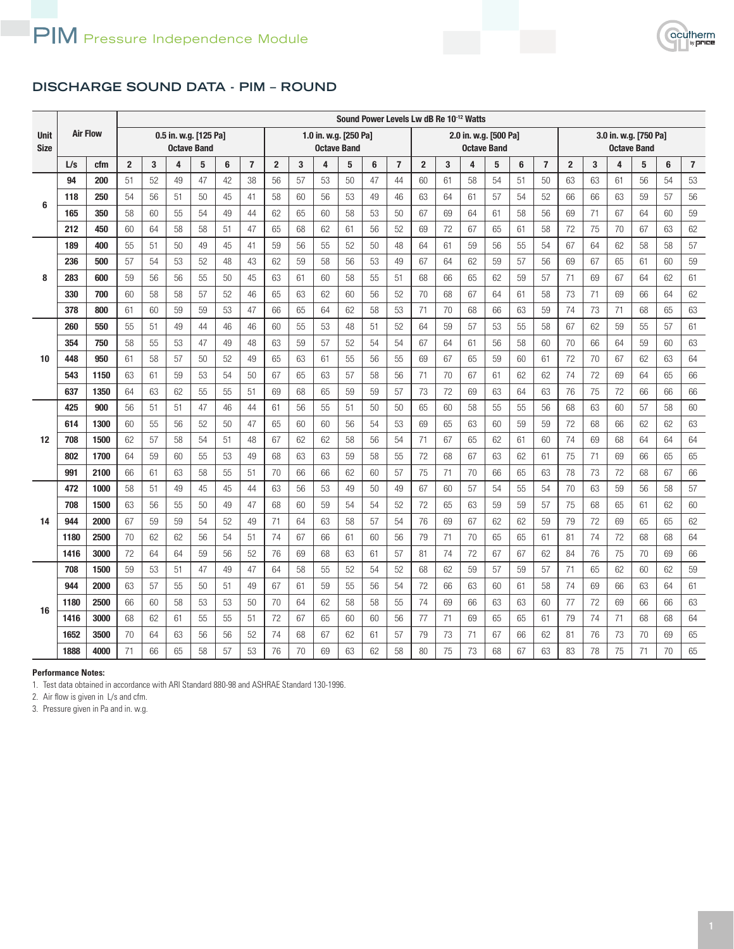

## **DISCHARGE SOUND DATA - PIM – ROUND**

|                            | <b>Air Flow</b> |      |                                             |    |                         |    |    |                |                                             |    |    |    |    |                |                                             |    | Sound Power Levels Lw dB Re 10 <sup>-12</sup> Watts |    |    |                |                |                                             |    |    |    |                |
|----------------------------|-----------------|------|---------------------------------------------|----|-------------------------|----|----|----------------|---------------------------------------------|----|----|----|----|----------------|---------------------------------------------|----|-----------------------------------------------------|----|----|----------------|----------------|---------------------------------------------|----|----|----|----------------|
| <b>Unit</b><br><b>Size</b> |                 |      | 0.5 in. w.g. [125 Pa]<br><b>Octave Band</b> |    |                         |    |    |                | 1.0 in. w.g. [250 Pa]<br><b>Octave Band</b> |    |    |    |    |                | 2.0 in. w.g. [500 Pa]<br><b>Octave Band</b> |    |                                                     |    |    |                |                | 3.0 in. w.g. [750 Pa]<br><b>Octave Band</b> |    |    |    |                |
|                            | L/s             | cfm  | $\overline{2}$                              | 3  | $\overline{\mathbf{4}}$ | 5  | 6  | $\overline{7}$ | $\overline{2}$                              | 3  | 4  | 5  | 6  | $\overline{7}$ | $\overline{2}$                              | 3  | 4                                                   | 5  | 6  | $\overline{7}$ | $\overline{2}$ | 3                                           | 4  | 5  | 6  | $\overline{7}$ |
| 6                          | 94              | 200  | 51                                          | 52 | 49                      | 47 | 42 | 38             | 56                                          | 57 | 53 | 50 | 47 | 44             | 60                                          | 61 | 58                                                  | 54 | 51 | 50             | 63             | 63                                          | 61 | 56 | 54 | 53             |
|                            | 118             | 250  | 54                                          | 56 | 51                      | 50 | 45 | 41             | 58                                          | 60 | 56 | 53 | 49 | 46             | 63                                          | 64 | 61                                                  | 57 | 54 | 52             | 66             | 66                                          | 63 | 59 | 57 | 56             |
|                            | 165             | 350  | 58                                          | 60 | 55                      | 54 | 49 | 44             | 62                                          | 65 | 60 | 58 | 53 | 50             | 67                                          | 69 | 64                                                  | 61 | 58 | 56             | 69             | 71                                          | 67 | 64 | 60 | 59             |
|                            | 212             | 450  | 60                                          | 64 | 58                      | 58 | 51 | 47             | 65                                          | 68 | 62 | 61 | 56 | 52             | 69                                          | 72 | 67                                                  | 65 | 61 | 58             | 72             | 75                                          | 70 | 67 | 63 | 62             |
|                            | 189             | 400  | 55                                          | 51 | 50                      | 49 | 45 | 41             | 59                                          | 56 | 55 | 52 | 50 | 48             | 64                                          | 61 | 59                                                  | 56 | 55 | 54             | 67             | 64                                          | 62 | 58 | 58 | 57             |
|                            | 236             | 500  | 57                                          | 54 | 53                      | 52 | 48 | 43             | 62                                          | 59 | 58 | 56 | 53 | 49             | 67                                          | 64 | 62                                                  | 59 | 57 | 56             | 69             | 67                                          | 65 | 61 | 60 | 59             |
| 8                          | 283             | 600  | 59                                          | 56 | 56                      | 55 | 50 | 45             | 63                                          | 61 | 60 | 58 | 55 | 51             | 68                                          | 66 | 65                                                  | 62 | 59 | 57             | 71             | 69                                          | 67 | 64 | 62 | 61             |
|                            | 330             | 700  | 60                                          | 58 | 58                      | 57 | 52 | 46             | 65                                          | 63 | 62 | 60 | 56 | 52             | 70                                          | 68 | 67                                                  | 64 | 61 | 58             | 73             | 71                                          | 69 | 66 | 64 | 62             |
|                            | 378             | 800  | 61                                          | 60 | 59                      | 59 | 53 | 47             | 66                                          | 65 | 64 | 62 | 58 | 53             | 71                                          | 70 | 68                                                  | 66 | 63 | 59             | 74             | 73                                          | 71 | 68 | 65 | 63             |
| 10                         | 260             | 550  | 55                                          | 51 | 49                      | 44 | 46 | 46             | 60                                          | 55 | 53 | 48 | 51 | 52             | 64                                          | 59 | 57                                                  | 53 | 55 | 58             | 67             | 62                                          | 59 | 55 | 57 | 61             |
|                            | 354             | 750  | 58                                          | 55 | 53                      | 47 | 49 | 48             | 63                                          | 59 | 57 | 52 | 54 | 54             | 67                                          | 64 | 61                                                  | 56 | 58 | 60             | 70             | 66                                          | 64 | 59 | 60 | 63             |
|                            | 448             | 950  | 61                                          | 58 | 57                      | 50 | 52 | 49             | 65                                          | 63 | 61 | 55 | 56 | 55             | 69                                          | 67 | 65                                                  | 59 | 60 | 61             | 72             | 70                                          | 67 | 62 | 63 | 64             |
|                            | 543             | 1150 | 63                                          | 61 | 59                      | 53 | 54 | 50             | 67                                          | 65 | 63 | 57 | 58 | 56             | 71                                          | 70 | 67                                                  | 61 | 62 | 62             | 74             | 72                                          | 69 | 64 | 65 | 66             |
|                            | 637             | 1350 | 64                                          | 63 | 62                      | 55 | 55 | 51             | 69                                          | 68 | 65 | 59 | 59 | 57             | 73                                          | 72 | 69                                                  | 63 | 64 | 63             | 76             | 75                                          | 72 | 66 | 66 | 66             |
|                            | 425             | 900  | 56                                          | 51 | 51                      | 47 | 46 | 44             | 61                                          | 56 | 55 | 51 | 50 | 50             | 65                                          | 60 | 58                                                  | 55 | 55 | 56             | 68             | 63                                          | 60 | 57 | 58 | 60             |
|                            | 614             | 1300 | 60                                          | 55 | 56                      | 52 | 50 | 47             | 65                                          | 60 | 60 | 56 | 54 | 53             | 69                                          | 65 | 63                                                  | 60 | 59 | 59             | 72             | 68                                          | 66 | 62 | 62 | 63             |
| 12                         | 708             | 1500 | 62                                          | 57 | 58                      | 54 | 51 | 48             | 67                                          | 62 | 62 | 58 | 56 | 54             | 71                                          | 67 | 65                                                  | 62 | 61 | 60             | 74             | 69                                          | 68 | 64 | 64 | 64             |
|                            | 802             | 1700 | 64                                          | 59 | 60                      | 55 | 53 | 49             | 68                                          | 63 | 63 | 59 | 58 | 55             | 72                                          | 68 | 67                                                  | 63 | 62 | 61             | 75             | 71                                          | 69 | 66 | 65 | 65             |
|                            | 991             | 2100 | 66                                          | 61 | 63                      | 58 | 55 | 51             | 70                                          | 66 | 66 | 62 | 60 | 57             | 75                                          | 71 | 70                                                  | 66 | 65 | 63             | 78             | 73                                          | 72 | 68 | 67 | 66             |
|                            | 472             | 1000 | 58                                          | 51 | 49                      | 45 | 45 | 44             | 63                                          | 56 | 53 | 49 | 50 | 49             | 67                                          | 60 | 57                                                  | 54 | 55 | 54             | 70             | 63                                          | 59 | 56 | 58 | 57             |
|                            | 708             | 1500 | 63                                          | 56 | 55                      | 50 | 49 | 47             | 68                                          | 60 | 59 | 54 | 54 | 52             | 72                                          | 65 | 63                                                  | 59 | 59 | 57             | 75             | 68                                          | 65 | 61 | 62 | 60             |
| 14                         | 944             | 2000 | 67                                          | 59 | 59                      | 54 | 52 | 49             | 71                                          | 64 | 63 | 58 | 57 | 54             | 76                                          | 69 | 67                                                  | 62 | 62 | 59             | 79             | 72                                          | 69 | 65 | 65 | 62             |
|                            | 1180            | 2500 | 70                                          | 62 | 62                      | 56 | 54 | 51             | 74                                          | 67 | 66 | 61 | 60 | 56             | 79                                          | 71 | 70                                                  | 65 | 65 | 61             | 81             | 74                                          | 72 | 68 | 68 | 64             |
|                            | 1416            | 3000 | 72                                          | 64 | 64                      | 59 | 56 | 52             | 76                                          | 69 | 68 | 63 | 61 | 57             | 81                                          | 74 | 72                                                  | 67 | 67 | 62             | 84             | 76                                          | 75 | 70 | 69 | 66             |
|                            | 708             | 1500 | 59                                          | 53 | 51                      | 47 | 49 | 47             | 64                                          | 58 | 55 | 52 | 54 | 52             | 68                                          | 62 | 59                                                  | 57 | 59 | 57             | 71             | 65                                          | 62 | 60 | 62 | 59             |
|                            | 944             | 2000 | 63                                          | 57 | 55                      | 50 | 51 | 49             | 67                                          | 61 | 59 | 55 | 56 | 54             | 72                                          | 66 | 63                                                  | 60 | 61 | 58             | 74             | 69                                          | 66 | 63 | 64 | 61             |
| 16                         | 1180            | 2500 | 66                                          | 60 | 58                      | 53 | 53 | 50             | 70                                          | 64 | 62 | 58 | 58 | 55             | 74                                          | 69 | 66                                                  | 63 | 63 | 60             | 77             | 72                                          | 69 | 66 | 66 | 63             |
|                            | 1416            | 3000 | 68                                          | 62 | 61                      | 55 | 55 | 51             | 72                                          | 67 | 65 | 60 | 60 | 56             | 77                                          | 71 | 69                                                  | 65 | 65 | 61             | 79             | 74                                          | 71 | 68 | 68 | 64             |
|                            | 1652            | 3500 | 70                                          | 64 | 63                      | 56 | 56 | 52             | 74                                          | 68 | 67 | 62 | 61 | 57             | 79                                          | 73 | 71                                                  | 67 | 66 | 62             | 81             | 76                                          | 73 | 70 | 69 | 65             |
|                            | 1888            | 4000 | 71                                          | 66 | 65                      | 58 | 57 | 53             | 76                                          | 70 | 69 | 63 | 62 | 58             | 80                                          | 75 | 73                                                  | 68 | 67 | 63             | 83             | 78                                          | 75 | 71 | 70 | 65             |

## **Performance Notes:**

1. Test data obtained in accordance with ARI Standard 880-98 and ASHRAE Standard 130-1996.

2. Air flow is given in L/s and cfm.

3. Pressure given in Pa and in. w.g.